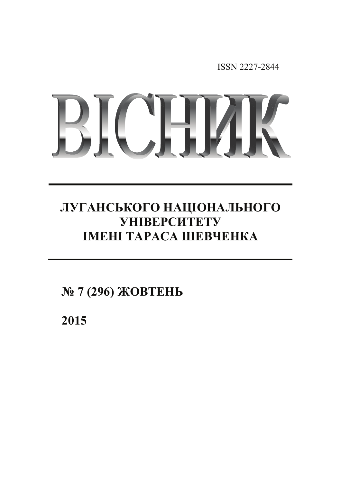ISSN 2227-2844

# RICHAI

# ЛУГАНСЬКОГО НАЦІОНАЛЬНОГО **YHIBEPCHTETY IMEHI TAPACA IIIEBYEHKA**

 $N$ <sup>2</sup> 7 (296) *<del>XOBTEHL</del>* 

**2015**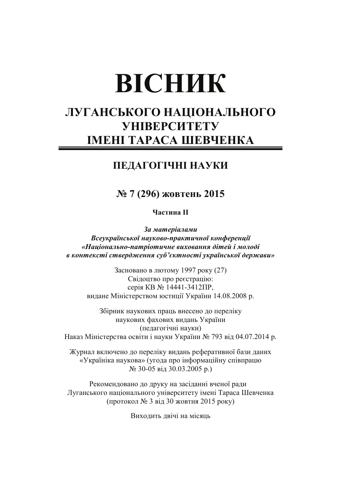# **ВІСНИК**

# ЛУГАНСЬКОГО НАЦІОНАЛЬНОГО **УНІВЕРСИТЕТУ** ІМЕНІ ТАРАСА ШЕВЧЕНКА

## ПЕДАГОГІЧНІ НАУКИ

### № 7 (296) жовтень 2015

Частина II

За матеріалами Всеукраїнської науково-практичної конференції «Національно-патріотичне виховання дітей і молоді в контексті ствердження суб'єктності української держави»

Засновано в лютому 1997 року (27) Свідоцтво про реєстрацію: серія КВ № 14441-3412ПР, видане Міністерством юстиції України 14.08.2008 р.

Збірник наукових праць внесено до переліку наукових фахових видань України (педагогічні науки) Наказ Міністерства освіти і науки України № 793 від 04.07.2014 р.

Журнал включено до переліку видань реферативної бази даних «Україніка наукова» (угода про інформаційну співпрацю  $N<sub>2</sub>$  30-05 від 30.03.2005 р.)

Рекомендовано до друку на засіданні вченої ради Луганського національного університету імені Тараса Шевченка (протокол № 3 від 30 жовтня 2015 року)

Виходить двічі на місяць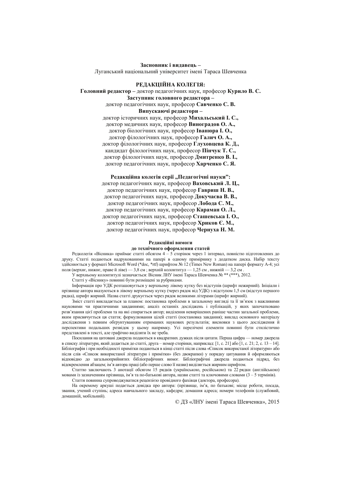Засновник і видавець -Луганський національний університет імені Тараса Шевченка

#### РЕДАКЦІЙНА КОЛЕГІЯ:

#### Головний редактор - доктор педагогічних наук, професор Курило В. С.

Заступник головного релактора -

доктор педагогічних наук, професор Савченко С. В.

#### Випускаючі редактори-

доктор історичних наук, професор Михальський І. С., доктор медичних наук, професор Виноградов О. А., доктор біологічних наук, професор Іванюра I. О., доктор філологічних наук, професор Галич О. А., доктор філологічних наук, професор Глуховцева К. Д., кандидат філологічних наук, професор Пінчук Т. С., доктор філологічних наук, професор Дмитренко В. І., доктор педагогічних наук, професор Харченко С. Я.

Редакційна колегія серії "Педагогічні науки":

доктор педагогічних наук, професор Ваховський Л. Ц., доктор педагогічних наук, професор Гавриш Н. В., доктор педагогічних наук, професор Докучаєва В. В., доктор педагогічних наук, професор Лобода С. М., доктор педагогічних наук, професор Караман О. Л., доктор педагогічних наук, професор Сташевська І. О., доктор педагогічних наук, професор Хриков Є. М., доктор педагогічних наук, професор Чернуха Н. М.

#### Релакційні вимоги

#### до технічного оформлення статей

Редколегія «Вісника» приймає статті обсягом 4 - 5 сторінок через 1 інтервал, повністю підготовлених до друку. Статті подаються надрукованими на папері в одному примірнику з додатком диска. Набір тексту здійснюється у форматі Microsoft Word (\*doc, \*rtf) шрифтом № 12 (Times New Roman) на папері формату A-4; усі поля (верхнє, нижнє, праве й ліве) — 3,8 см; верхній колонтитул — 1,25 см, нижній — 3,2 см

У верхньому колонтитулі зазначається: Вісник ЛНУ імені Тараса Шевченка № \*\* (\*\*\*), 2012.

Статті v «Віснику» повинні бути розміщені за рубриками.

Інформація про УДК розташовується у верхньому лівому кутку без відступів (шрифт нежирний). Ініціали і прізвище автора вказуються в лівому верхньому кутку (через рядок від УДК) з відступом 1,5 см (відступ першого рядка), шрифт жирний. Назва статті друкується через рядок великими літерами (шрифт жирний).

Зміст статті викладається за планом: постановка проблеми в загальному вигляді та її зв'язок з важливими науковими чи практичними завданнями; аналіз останніх досліджень і публікацій, у яких започатковано розв'язання цієї проблеми та на які спирається автор; виділення невирішених раніше частин загальної проблеми, яким присвячується ця стаття; формулювання цілей статті (постановка завдання); виклад основного матеріалу дослідження з певним обтрунтуванням отриманих наукових результатів; висновки з цього дослідження й перспективи подальших розвідок у цьому напрямку. Усі перелічені елементи повинні бути стилістично представлені в тексті, але графічно виділяти їх не треба.

Посилання на цитовані джерела подаються в квадратних дужках після цитати. Перша цифра — номер джерела в списку літератури, який додається до статті, друга – номер сторінки, наприклад: [1, с. 21] або [1, с. 21; 2, с. 13 – 14]. Бібліографія і при необхідності примітки подаються в кінці статті після слова «Список використаної літератури» або після слів «Список використаної літератури і примітки» (без двокрапки) у порядку цитування й оформляються відповідно до загальноприйнятих бібліографічних вимог. Бібліографічні джерела подаються підряд, без відокремлення абзацем; ім'я автора праці (або перше слово її назви) виділяється жирним шрифтом.

Статтю заключають 3 анотації обсягом 15 рядків (українською, російською) та 22 рядки (англійською) мовами із зазначенням прізвиша, ім'я та по-батькові автора, назви статті та ключовими словами  $(3-5$  термінів).

Стаття повинна супроводжуватися рецензією провідного фахівця (доктора, професора).

На окремому аркуші подається довідка про автора: (прізвище, ім'я, по батькові; місце роботи, посада, звання, учений ступінь; адреса навчального закладу, кафедри; домашня адреса; номери телефонів (службовий, ломашній мобільний).

© ДЗ «ЛНУ імені Тараса Шевченка», 2015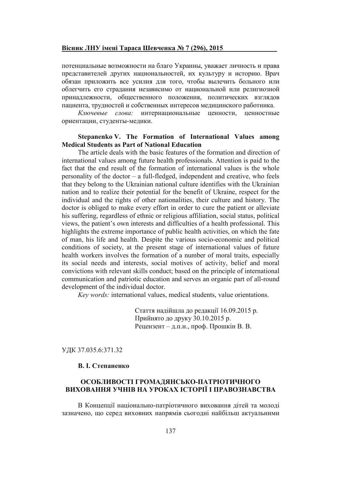#### <u>Вісник ЛНУ імені Тараса Шевченка № 7 (296), 2015 </u>

потенциальные возможности на благо Украины, уважает личность и права представителей других национальностей, их культуру и историю. Врач обязан приложить все усилия для того, чтобы вылечить больного или облегчить его страдания независимо от национальной или религиозной принадлежности, общественного положения, политических взглядов пациента, трудностей и собственных интересов медицинского работника.

 $K$ лючевые сл ова: интернациональные ценности, ценностные ориентации, студенты-медики.

#### **Stepanenko V. The Formation of International Values among Medical Students as Part of National Education**

The article deals with the basic features of the formation and direction of international values among future health professionals. Attention is paid to the fact that the end result of the formation of international values is the whole personality of the doctor  $-$  a full-fledged, independent and creative, who feels that they belong to the Ukrainian national culture identifies with the Ukrainian nation and to realize their potential for the benefit of Ukraine, respect for the individual and the rights of other nationalities, their culture and history. The doctor is obliged to make every effort in order to cure the patient or alleviate his suffering, regardless of ethnic or religious affiliation, social status, political views, the patient's own interests and difficulties of a health professional. This highlights the extreme importance of public health activities, on which the fate of man, his life and health. Despite the various socio-economic and political conditions of society, at the present stage of international values of future health workers involves the formation of a number of moral traits, especially its social needs and interests, social motives of activity, belief and moral convictions with relevant skills conduct; based on the principle of international communication and patriotic education and serves an organic part of all-round development of the individual doctor.

*Key words:* international values, medical students, value orientations.

Стаття надійшла до редакції 16.09.2015 р. Прийнято до друку 30.10.2015 р. Рецензент – д.п.н., проф. Прошкін В. В.

УДК 37.035.6:371.32

#### **В. І. Степаненко**

#### ОСОБЛИВОСТІ ГРОМАДЯНСЬКО-ПАТРІОТИЧНОГО ВИХОВАННЯ УЧНІВ НА УРОКАХ ІСТОРІЇ І ПРАВОЗНАВСТВА

В Концепції національно-патріотичного виховання дітей та молоді зазначено, що серед виховних напрямів сьогодні найбільш актуальними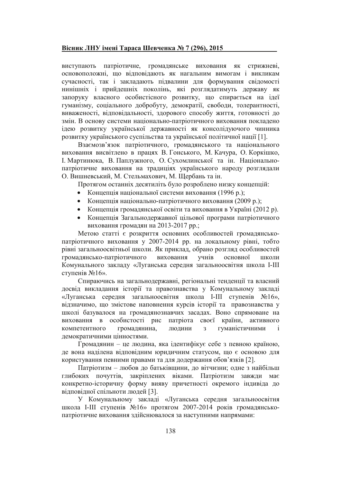#### Вісник ЛНУ імені Тараса Шевченка № 7 (296), 2015

виступають патріотичне, громадянське виховання як стрижневі, основоположні, що відповідають як нагальним вимогам і викликам сучасності, так і закладають підвалини для формування свідомості нинішніх і прийдешніх поколінь, які розглядатимуть державу як запоруку власного особистісного розвитку, що спирається на ідеї гуманізму, соціального добробуту, демократії, свободи, толерантності, виваженості, відповідальності, здорового способу життя, готовності до змін. В основу системи національно-патріотичного виховання покладено ідею розвитку української державності як консолідуючого чинника розвитку українського суспільства та української політичної нації [1].

Взаємозв'язок патріотичного, громадянського та національного виховання висвітлено в працях В. Гонського, М. Качура, О. Коркішко, I. Мартинюка, В. Паплужного, О. Сухомлинської та ін. Національнопатріотичне виховання на традиціях українського народу розглядали О. Вишневський, М. Стельмахович, М. Щербань та ін.

Протягом останніх десятиліть було розроблено низку концепцій:

- Концепція національної системи виховання (1996 р.);
- Концепція національно-патріотичного виховання (2009 р.);
- Концепція громадянської освіти та виховання в Україні (2012 р).
- Концепція Загальнодержавної цільової програми патріотичного виховання громадян на 2013-2017 рр.;

Метою статті є розкриття основних особливостей громадянськопатріотичного виховання у 2007-2014 рр. на локальному рівні, тобто рівні загальноосвітньої школи. Як приклад, обрано розгляд особливостей громадянсько-патріотичного учнів виховання основної ШКОЛИ Комунального закладу «Луганська середня загальноосвітня школа I-III ступенів №16».

Спираючись на загальнодержавні, регіональні тенденції та власний досвід викладання історії та правознавства у Комунальному закладі «Луганська середня загальноосвітня школа I-III ступенів №16», відзначимо, що змістове наповнення курсів історії та правознавства у школі базувалося на громадянознавчих засадах. Воно спрямоване на виховання в особистості рис патріота своєї країни, активного компетентного громадянина, людини  $\overline{3}$ гуманістичними демократичними цінностями.

Громадянин - це людина, яка ідентифікує себе з певною країною, де вона наділена відповідним юридичним статусом, що є основою для користування певними правами та для додержання обов'язків [2].

Патріотизм - любов до батьківщини, до вітчизни; одне з найбільш глибоких почуттів, закріплених віками. Патріотизм завжди має конкретно-історичну форму вияву причетності окремого індивіда до вілповілної спільноти людей [3].

У Комунальному закладі «Луганська середня загальноосвітня школа I-III ступенів №16» протягом 2007-2014 років громадянськопатріотичне виховання здійснювалося за наступними напрямами: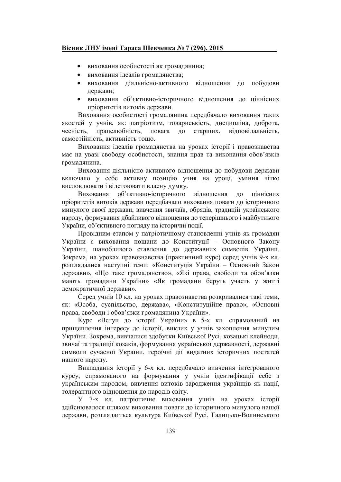#### Вісник ЛНУ імені Тараса Шевченка № 7 (296), 2015

- виховання особистості як громадянина:
- виховання ідеалів громадянства;
- виховання ліяльнісно-активного вілношення до побудови держави;
- виховання об'єктивно-історичного вілношення до ціннісних пріоритетів витоків держави.

Виховання особистості громадянина передбачало виховання таких якостей у учнів, як: патріотизм, товариськість, дисципліна, доброта, чесність, працелюбність, повага  $\overline{10}$ старших, відповідальність, самостійність, активність тошо.

Виховання ідеалів громадянства на уроках історії і правознавства має на увазі свободу особистості, знання прав та виконання обов'язків громадянина.

Виховання діяльнісно-активного відношення до побудови держави включало у себе активну позицію учня на уроці, уміння чітко висловлювати і вілстоювати власну думку.

Виховання об'єктивно-історичного відношення  $\overline{a}$ піннісних пріоритетів витоків держави передбачало виховання поваги до історичного минулого своєї держави, вивчення звичаїв, обрядів, традицій українського народу, формування дбайливого відношення до теперішнього і майбутнього України, об'єктивного погляду на історичні події.

Провідним етапом у патріотичному становленні учнів як громадян України є виховання пошани до Конституції - Основного Закону України, шанобливого ставлення до державних символів України. Зокрема, на уроках правознавства (практичний курс) серед учнів 9-х кл. розглядалися наступні теми: «Конституція України - Основний Закон держави», «Що таке громадянство», «Які права, свободи та обов'язки мають громадяни України» «Як громадяни беруть участь у житті демократичної держави».

Серед учнів 10 кл. на уроках правознавства розкривалися такі теми, як: «Особа, суспільство, держава», «Конституційне право», «Основні права, свободи і обов'язки громадянина України».

Курс «Вступ до історії України» в 5-х кл. спрямований на прищеплення інтересу до історії, виклик у учнів захоплення минулим України. Зокрема, вивчалися здобутки Київської Русі, козацькі клейноди, звичаї та традиції козаків, формування української державності, державні символи сучасної України, героїчні дії видатних історичних постатей нашого народу.

Викладання історії у 6-х кл. передбачало вивчення інтегрованого курсу, спрямованого на формування у учнів ідентифікації себе з українським народом, вивчення витоків зародження українців як нації, толерантного вілношення до народів світу.

У 7-х кл. патріотичне виховання учнів на уроках історії здійснювалося шляхом виховання поваги до історичного минулого нашої держави, розглядається культура Київської Русі, Галицько-Волинського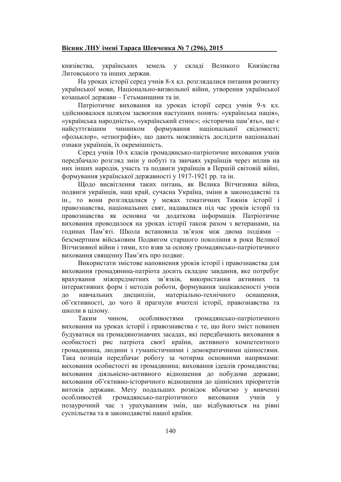українських земель **v** складі Великого Князівства князівства, Литовського та інших держав.

На уроках історії серед учнів 8-х кл. розглядалися питання розвитку української мови, Національно-визвольної війни, утворення української козацької держави - Гетьманщини та ін.

Патріотичне виховання на уроках історії серед учнів 9-х кл. здійснювалося шляхом засвоєння наступних понять: «українська нація», «українська народність», «український етнос»; «історична пам'ять», що є найсуттєвішим чинником формування національної свіломості: «фольклор», «етнографія», що дають можливість дослідити національні ознаки українців, їх окремішність.

Серед учнів 10-х класів громадянсько-патріотичне виховання учнів передбачало розгляд змін у побуті та звичаях українців через вплив на них інших народів, участь та подвиги українців в Першій світовій війні, формування української державності у 1917-1921 рр. та ін.

Щодо висвітлення таких питань, як Велика Вітчизняна війна, подвиги українців, наш край, сучасна Україна, зміни в законодавстві та ін., то вони розглядалися у межах тематичних Тижнів історії і правознавства, національних свят, надавалися під час уроків історії та правознавства як основна чи додаткова інформація. Патріотичне виховання проводилося на уроках історії також разом з ветеранами, на годинах Пам'яті. Школа встановила зв'язок між двома подіями безсмертним військовим Подвигом старшого покоління в роки Великої Вітчизняної війни і тими, хто взяв за основу громадянсько-патріотичного виховання священну Пам'ять про подвиг.

Використати змістове наповнення уроків історії і правознавства для виховання громадянина-патріота досить складне завдання, яке потребує міжпредметних зв'язків, використання активних та врахування інтерактивних форм і методів роботи, формування зацікавленості учнів до дисциплін. матеріально-технічного навчальних оснащення, об'єктивності, до чого й прагнули вчителі історії, правознавства та школи в цілому.

Таким особливостями громадянсько-патріотичного чином, виховання на уроках історії і правознавства є те, що його зміст повинен будуватися на громадянознавчих засадах, які передбачають виховання в особистості рис патріота своєї країни, активного компетентного громадянина, людини з гуманістичними і демократичними цінностями. Така позиція передбачає роботу за чотирма основними напрямами: виховання особистості як громадянина; виховання ідеалів громадянства: виховання діяльнісно-активного відношення до побудови держави; виховання об'єктивно-історичного відношення до ціннісних пріоритетів витоків держави. Мету подальших розвідок вбачаємо у вивченні особливостей громадянсько-патріотичного виховання учнів  $\overline{\mathbf{V}}$ позаурочний час з урахуванням змін, що відбуваються на рівні суспільства та в законодавстві нашої країни.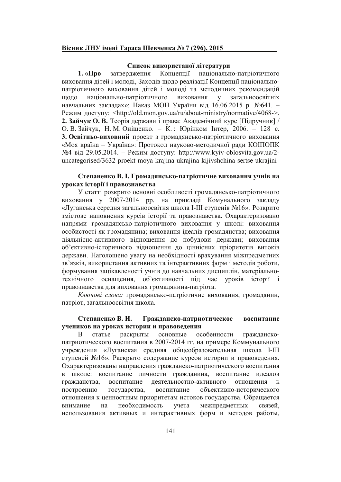#### Вісник ЛНУ імені Тараса Шевченка № 7 (296), 2015

#### Список використаної літератури

Концепції національно-патріотичного  $1.$  « $\Pi$ po затвердження виховання дітей і молоді. Заходів щодо реалізації Концепції національнопатріотичного виховання дітей і молоді та методичних рекомендацій національно-патріотичного виховання у загальноосвітніх щодо навчальних закладах»: Наказ МОН України від 16.06.2015 р. №641. -Режим доступу: <http://old.mon.gov.ua/ru/about-ministry/normative/4068->. 2. Зайчук О. В. Теорія держави і права: Академічний курс [Підручник] / О. В. Зайчук, Н. М. Оніщенко. - К.: Юрінком Інтер, 2006. - 128 с. 3. Освітньо-виховний проект з громадянсько-патріотичного виховання «Моя країна - Україна»: Протокол науково-методичної ради КОПОПК №4 від 29.05.2014. – Режим доступу: http://www.kyiv-oblosvita.gov.ua/2uncategorised/3632-proekt-mova-krajina-ukrajina-kijivshchina-sertse-ukrajini

#### Степаненко В. І. Громадянсько-патріотичне виховання учнів на уроках історії і правознавства

У статті розкрито основні особливості громадянсько-патріотичного виховання у 2007-2014 рр. на прикладі Комунального закладу «Луганська середня загальноосвітня школа I-III ступенів №16». Розкрито змістове наповнення курсів історії та правознавства. Охарактеризовано напрями громадянсько-патріотичного виховання у школі: виховання особистості як громадянина; виховання ідеалів громадянства; виховання діяльнісно-активного відношення до побудови держави; виховання об'єктивно-історичного відношення до ціннісних пріоритетів витоків держави. Наголошено увагу на необхідності врахування міжпредметних зв'язків, використання активних та інтерактивних форм і методів роботи, формування зацікавленості учнів до навчальних дисциплін, матеріальнотехнічного оснащення, об'єктивності під час уроків історії і правознавства для виховання громадянина-патріота.

Ключові слова: громадянсько-патріотичне виховання, громадянин, патріот, загальноосвітня школа.

#### Степаненко В. И. Гражданско-патриотическое воспитание учеников на уроках истории и правоведения

статье раскрыты основные особенности гражданско-B патриотического воспитания в 2007-2014 гг. на примере Коммунального учреждения «Луганская средняя общеобразовательная школа I-III ступеней №16». Раскрыто содержание курсов истории и правоведения. Охарактеризованы направления гражданско-патриотического воспитания в школе: воспитание личности гражданина, воспитание идеалов воспитание деятельностно-активного отношения гражданства, построению объективно-исторического государства, воспитание отношения к ценностным приоритетам истоков государства. Обращается необходимость межпредметных внимание на учета связей. использования активных и интерактивных форм и методов работы,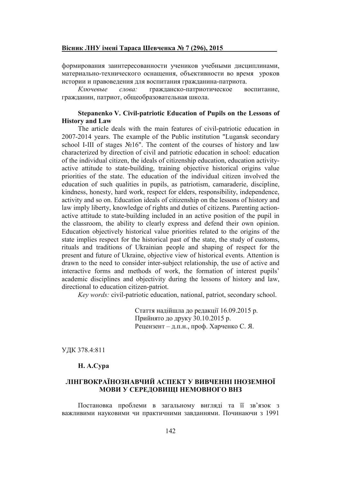#### <u>Вісник ЛНУ імені Тараса Шевченка № 7 (296), 2015 </u>

формирования заинтересованности учеников учебными дисциплинами, материально-технического оснащения, объективности во время уроков истории и правоведения для воспитания гражданина-патриота.

 $\it K$ лючевы *e слова:* гра жданско-патриотическое воспита воспитание. гражданин, патриот, общеобразовательная школа.

#### **Stepanenko V. Civil-patriotic Education of Pupils on the Lessons of History and Law**

The article deals with the main features of civil-patriotic education in 2007-2014 years. The example of the Public institution "Lugansk secondary school I-III of stages  $N<sub>2</sub>16"$ . The content of the courses of history and law characterized by direction of civil and patriotic education in school: education of the individual citizen, the ideals of citizenship education, education activityactive attitude to state-building, training objective historical origins value priorities of the state. The education of the individual citizen involved the education of such qualities in pupils, as patriotism, camaraderie, discipline, kindness, honesty, hard work, respect for elders, responsibility, independence, activity and so on. Education ideals of citizenship on the lessons of history and law imply liberty, knowledge of rights and duties of citizens. Parenting actionactive attitude to state-building included in an active position of the pupil in the classroom, the ability to clearly express and defend their own opinion. Education objectively historical value priorities related to the origins of the state implies respect for the historical past of the state, the study of customs, rituals and traditions of Ukrainian people and shaping of respect for the present and future of Ukraine, objective view of historical events. Attention is drawn to the need to consider inter-subject relationship, the use of active and interactive forms and methods of work, the formation of interest pupils' academic disciplines and objectivity during the lessons of history and law, directional to education citizen-patriot.

*Key words:* civil-patriotic education, national, patriot, secondary school.

Стаття надійшла до редакції 16.09.2015 р. Прийнято до друку 30.10.2015 р. Рецензент – д.п.н., проф. Харченко С. Я.

УДК 378.4:811

#### **H. A.Cypa**

#### ЛІНГВОКРАЇНОЗНАВЧИЙ АСПЕКТ У ВИВЧЕННІ ІНОЗЕМНОЇ <u>МОВИ У СЕРЕДОВИЩІ НЕМОВНОГО ВНЗ</u>

Постановка проблеми в загальному вигляді та її зв'язок з важливими науковими чи практичними завданнями. Починаючи з 1991